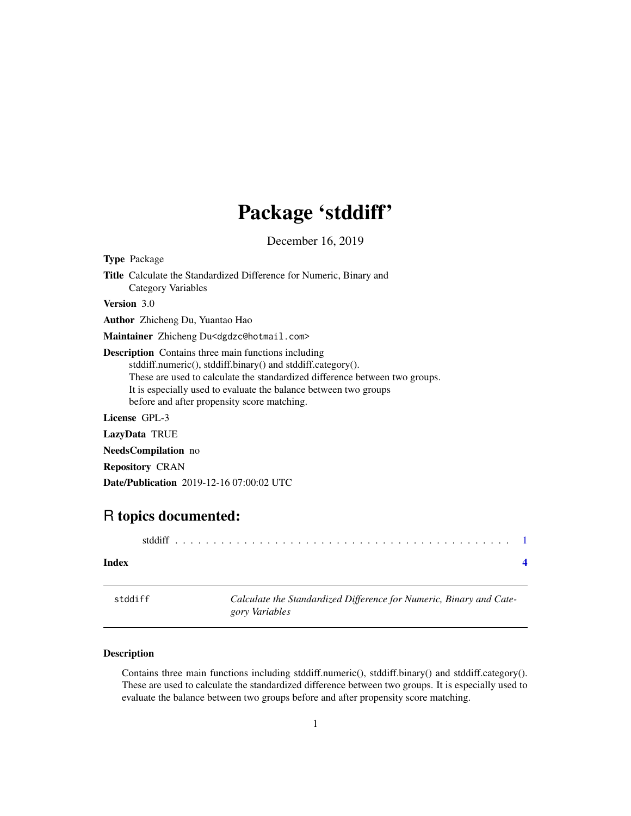## Package 'stddiff'

December 16, 2019

<span id="page-0-0"></span>

| <b>Type Package</b>                                                                                                                                                                                                                                                                                                         |
|-----------------------------------------------------------------------------------------------------------------------------------------------------------------------------------------------------------------------------------------------------------------------------------------------------------------------------|
| <b>Title</b> Calculate the Standardized Difference for Numeric, Binary and<br>Category Variables                                                                                                                                                                                                                            |
| <b>Version</b> 3.0                                                                                                                                                                                                                                                                                                          |
| <b>Author</b> Zhicheng Du, Yuantao Hao                                                                                                                                                                                                                                                                                      |
| Maintainer Zhicheng Du <dgdzc@hotmail.com></dgdzc@hotmail.com>                                                                                                                                                                                                                                                              |
| <b>Description</b> Contains three main functions including<br>stddiff.numeric(), stddiff.binary() and stddiff.category().<br>These are used to calculate the standardized difference between two groups.<br>It is especially used to evaluate the balance between two groups<br>before and after propensity score matching. |
| <b>License GPL-3</b>                                                                                                                                                                                                                                                                                                        |
| <b>LazyData TRUE</b>                                                                                                                                                                                                                                                                                                        |
| <b>NeedsCompilation</b> no                                                                                                                                                                                                                                                                                                  |
| <b>Repository CRAN</b>                                                                                                                                                                                                                                                                                                      |
| <b>Date/Publication</b> 2019-12-16 07:00:02 UTC                                                                                                                                                                                                                                                                             |
|                                                                                                                                                                                                                                                                                                                             |

### R topics documented:

| Index   |                                                                     |
|---------|---------------------------------------------------------------------|
| stddiff | Calculate the Standardized Difference for Numeric, Binary and Cate- |

*gory Variables*

#### Description

Contains three main functions including stddiff.numeric(), stddiff.binary() and stddiff.category(). These are used to calculate the standardized difference between two groups. It is especially used to evaluate the balance between two groups before and after propensity score matching.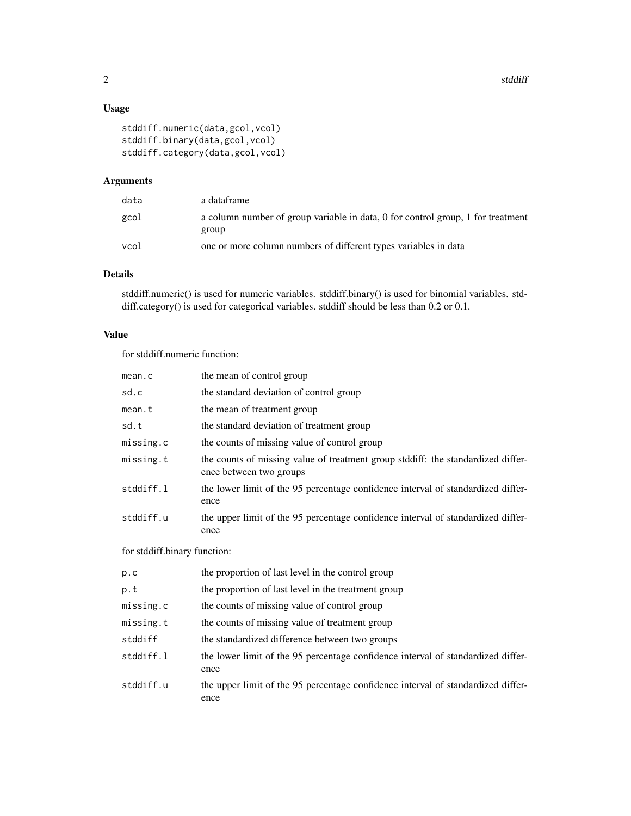#### Usage

```
stddiff.numeric(data,gcol,vcol)
stddiff.binary(data,gcol,vcol)
stddiff.category(data,gcol,vcol)
```
#### Arguments

| data | a dataframe                                                                              |
|------|------------------------------------------------------------------------------------------|
| gcol | a column number of group variable in data, 0 for control group, 1 for treatment<br>group |
| vcol | one or more column numbers of different types variables in data                          |

#### Details

stddiff.numeric() is used for numeric variables. stddiff.binary() is used for binomial variables. stddiff.category() is used for categorical variables. stddiff should be less than 0.2 or 0.1.

#### Value

for stddiff.numeric function:

| mean.c                       | the mean of control group                                                                                   |  |  |
|------------------------------|-------------------------------------------------------------------------------------------------------------|--|--|
| sd.c                         | the standard deviation of control group                                                                     |  |  |
| mean.t                       | the mean of treatment group                                                                                 |  |  |
| sd.t                         | the standard deviation of treatment group                                                                   |  |  |
| missing.c                    | the counts of missing value of control group                                                                |  |  |
| missing.t                    | the counts of missing value of treatment group stddiff: the standardized differ-<br>ence between two groups |  |  |
| stddiff.l                    | the lower limit of the 95 percentage confidence interval of standardized differ-<br>ence                    |  |  |
| stddiff.u                    | the upper limit of the 95 percentage confidence interval of standardized differ-<br>ence                    |  |  |
| for stddiff.binary function: |                                                                                                             |  |  |
| p.c                          | the proportion of last level in the control group                                                           |  |  |
| p.t                          | the proportion of last level in the treatment group                                                         |  |  |
| missing.c                    | the counts of missing value of control group                                                                |  |  |
| missing.t                    | the counts of missing value of treatment group                                                              |  |  |
| stddiff                      | the standardized difference between two groups                                                              |  |  |
| stddiff.l                    | the lower limit of the 95 percentage confidence interval of standardized differ-<br>ence                    |  |  |
| stddiff.u                    | the upper limit of the 95 percentage confidence interval of standardized differ-<br>ence                    |  |  |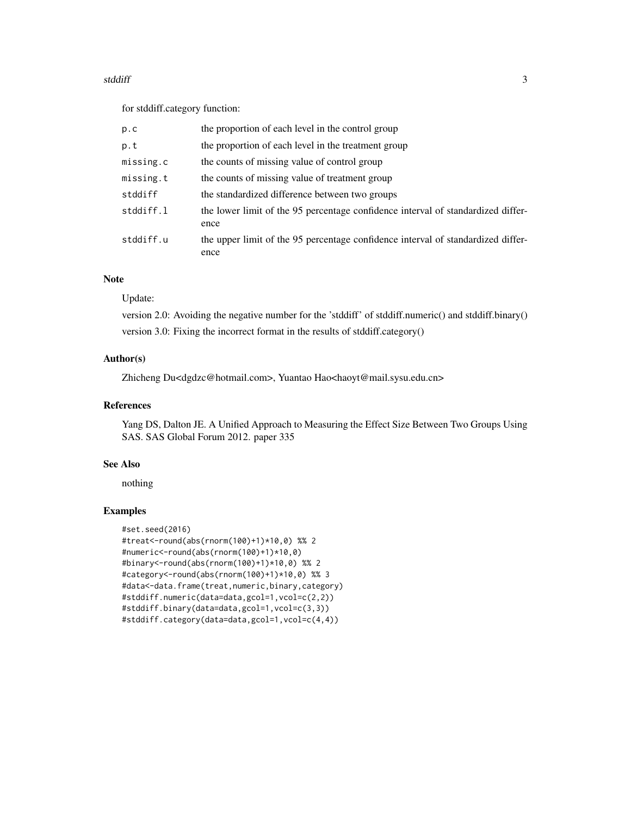#### stddiff 3

for stddiff.category function:

| p.c       | the proportion of each level in the control group                                        |
|-----------|------------------------------------------------------------------------------------------|
| p.t       | the proportion of each level in the treatment group                                      |
| missing.c | the counts of missing value of control group                                             |
| missing.t | the counts of missing value of treatment group                                           |
| stddiff   | the standardized difference between two groups                                           |
| stddiff.l | the lower limit of the 95 percentage confidence interval of standardized differ-<br>ence |
| stddiff.u | the upper limit of the 95 percentage confidence interval of standardized differ-<br>ence |

#### Note

Update:

version 2.0: Avoiding the negative number for the 'stddiff' of stddiff.numeric() and stddiff.binary() version 3.0: Fixing the incorrect format in the results of stddiff.category()

#### Author(s)

Zhicheng Du<dgdzc@hotmail.com>, Yuantao Hao<haoyt@mail.sysu.edu.cn>

#### References

Yang DS, Dalton JE. A Unified Approach to Measuring the Effect Size Between Two Groups Using SAS. SAS Global Forum 2012. paper 335

#### See Also

nothing

#### Examples

```
#set.seed(2016)
#treat<-round(abs(rnorm(100)+1)*10,0) %% 2
#numeric<-round(abs(rnorm(100)+1)*10,0)
#binary<-round(abs(rnorm(100)+1)*10,0) %% 2
#category<-round(abs(rnorm(100)+1)*10,0) %% 3
#data<-data.frame(treat,numeric,binary,category)
#stddiff.numeric(data=data,gcol=1,vcol=c(2,2))
#stddiff.binary(data=data,gcol=1,vcol=c(3,3))
#stddiff.category(data=data,gcol=1,vcol=c(4,4))
```